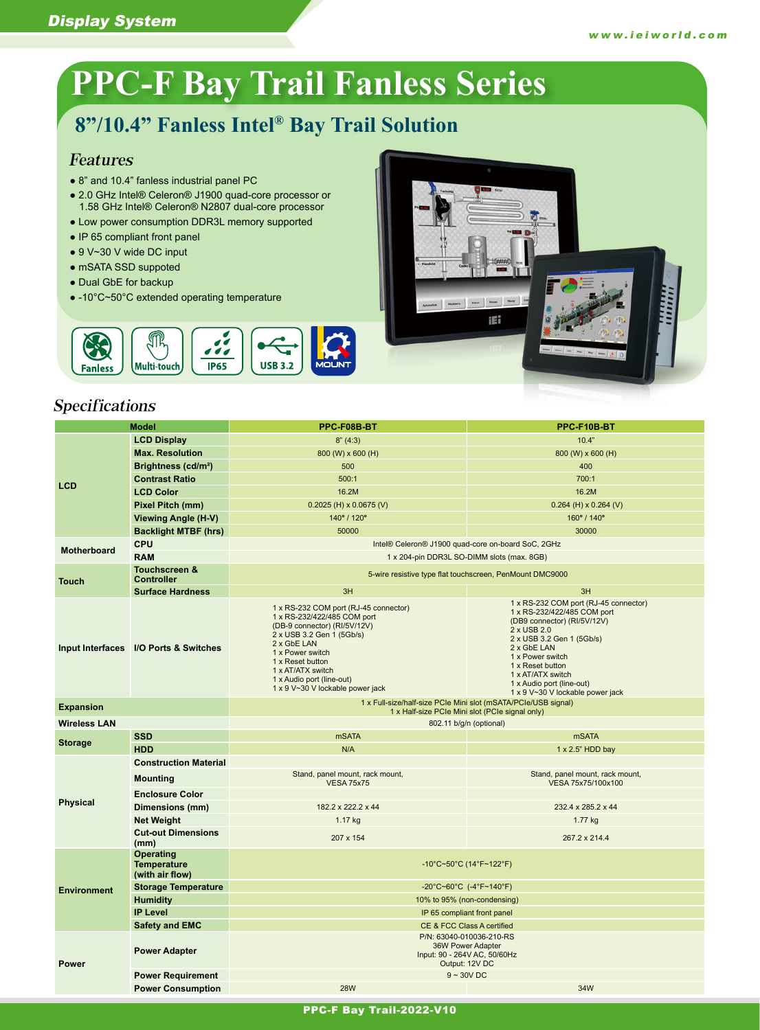# **PPC-F Bay Trail Fanless Series**

# **8"/10.4" Fanless Intel® Bay Trail Solution**

#### Features

- 8" and 10.4" fanless industrial panel PC
- 2.0 GHz Intel® Celeron® J1900 quad-core processor or 1.58 GHz Intel® Celeron® N2807 dual-core processor
- Low power consumption DDR3L memory supported
- IP 65 compliant front panel
- 9 V~30 V wide DC input
- mSATA SSD suppoted
- Dual GbE for backup
- -10°C~50°C extended operating temperature



## Specifications

| <b>Model</b>        |                                                           | PPC-F08B-BT                                                                                                                                                                                                                                                                    | PPC-F10B-BT                                                                                                                                                                                                                                                                                  |  |
|---------------------|-----------------------------------------------------------|--------------------------------------------------------------------------------------------------------------------------------------------------------------------------------------------------------------------------------------------------------------------------------|----------------------------------------------------------------------------------------------------------------------------------------------------------------------------------------------------------------------------------------------------------------------------------------------|--|
|                     | <b>LCD Display</b>                                        | 8''(4:3)                                                                                                                                                                                                                                                                       | 10.4"                                                                                                                                                                                                                                                                                        |  |
| <b>LCD</b>          | <b>Max. Resolution</b>                                    | 800 (W) x 600 (H)                                                                                                                                                                                                                                                              | 800 (W) x 600 (H)                                                                                                                                                                                                                                                                            |  |
|                     | Brightness (cd/m <sup>2</sup> )                           | 500                                                                                                                                                                                                                                                                            | 400                                                                                                                                                                                                                                                                                          |  |
|                     | <b>Contrast Ratio</b>                                     | 500:1                                                                                                                                                                                                                                                                          | 700:1                                                                                                                                                                                                                                                                                        |  |
|                     | <b>LCD Color</b>                                          | 16.2M                                                                                                                                                                                                                                                                          | 16.2M                                                                                                                                                                                                                                                                                        |  |
|                     | Pixel Pitch (mm)                                          | $0.2025$ (H) x 0.0675 (V)                                                                                                                                                                                                                                                      | $0.264$ (H) x 0.264 (V)                                                                                                                                                                                                                                                                      |  |
|                     | Viewing Angle (H-V)                                       | 140° / 120°                                                                                                                                                                                                                                                                    | 160° / 140°                                                                                                                                                                                                                                                                                  |  |
|                     | <b>Backlight MTBF (hrs)</b>                               | 50000                                                                                                                                                                                                                                                                          | 30000                                                                                                                                                                                                                                                                                        |  |
| <b>Motherboard</b>  | <b>CPU</b>                                                | Intel® Celeron® J1900 quad-core on-board SoC, 2GHz                                                                                                                                                                                                                             |                                                                                                                                                                                                                                                                                              |  |
|                     | <b>RAM</b>                                                | 1 x 204-pin DDR3L SO-DIMM slots (max. 8GB)                                                                                                                                                                                                                                     |                                                                                                                                                                                                                                                                                              |  |
| <b>Touch</b>        | <b>Touchscreen &amp;</b><br><b>Controller</b>             | 5-wire resistive type flat touchscreen, PenMount DMC9000                                                                                                                                                                                                                       |                                                                                                                                                                                                                                                                                              |  |
|                     | <b>Surface Hardness</b>                                   | 3H                                                                                                                                                                                                                                                                             | 3H                                                                                                                                                                                                                                                                                           |  |
|                     | Input Interfaces I/O Ports & Switches                     | 1 x RS-232 COM port (RJ-45 connector)<br>1 x RS-232/422/485 COM port<br>(DB-9 connector) (RI/5V/12V)<br>2 x USB 3.2 Gen 1 (5Gb/s)<br>2 x GbE LAN<br>1 x Power switch<br>1 x Reset button<br>1 x AT/ATX switch<br>1 x Audio port (line-out)<br>1 x 9 V~30 V lockable power jack | 1 x RS-232 COM port (RJ-45 connector)<br>1 x RS-232/422/485 COM port<br>(DB9 connector) (RI/5V/12V)<br>2 x USB 2.0<br>2 x USB 3.2 Gen 1 (5Gb/s)<br>2 x GbE LAN<br>1 x Power switch<br>1 x Reset button<br>1 x AT/ATX switch<br>1 x Audio port (line-out)<br>1 x 9 V~30 V lockable power jack |  |
| <b>Expansion</b>    |                                                           | 1 x Full-size/half-size PCIe Mini slot (mSATA/PCIe/USB signal)<br>1 x Half-size PCIe Mini slot (PCIe signal only)                                                                                                                                                              |                                                                                                                                                                                                                                                                                              |  |
| <b>Wireless LAN</b> |                                                           | 802.11 b/g/n (optional)                                                                                                                                                                                                                                                        |                                                                                                                                                                                                                                                                                              |  |
|                     | <b>SSD</b>                                                | <b>mSATA</b>                                                                                                                                                                                                                                                                   | <b>mSATA</b>                                                                                                                                                                                                                                                                                 |  |
| <b>Storage</b>      | <b>HDD</b>                                                | N/A                                                                                                                                                                                                                                                                            | 1 x 2.5" HDD bay                                                                                                                                                                                                                                                                             |  |
|                     | <b>Construction Material</b>                              |                                                                                                                                                                                                                                                                                |                                                                                                                                                                                                                                                                                              |  |
|                     | <b>Mounting</b>                                           | Stand, panel mount, rack mount,<br><b>VESA 75x75</b>                                                                                                                                                                                                                           | Stand, panel mount, rack mount,<br>VESA 75x75/100x100                                                                                                                                                                                                                                        |  |
| <b>Physical</b>     | <b>Enclosure Color</b>                                    |                                                                                                                                                                                                                                                                                |                                                                                                                                                                                                                                                                                              |  |
|                     | Dimensions (mm)                                           | 182.2 x 222.2 x 44                                                                                                                                                                                                                                                             | 232.4 x 285.2 x 44                                                                                                                                                                                                                                                                           |  |
|                     | <b>Net Weight</b>                                         | 1.17 kg                                                                                                                                                                                                                                                                        | 1.77 kg                                                                                                                                                                                                                                                                                      |  |
|                     | <b>Cut-out Dimensions</b><br>(mm)                         | 207 x 154                                                                                                                                                                                                                                                                      | 267.2 x 214.4                                                                                                                                                                                                                                                                                |  |
|                     | <b>Operating</b><br><b>Temperature</b><br>(with air flow) | $-10^{\circ}$ C~50°C (14°F~122°F)                                                                                                                                                                                                                                              |                                                                                                                                                                                                                                                                                              |  |
| <b>Environment</b>  | <b>Storage Temperature</b>                                | -20°C~60°C (-4°F~140°F)                                                                                                                                                                                                                                                        |                                                                                                                                                                                                                                                                                              |  |
|                     | <b>Humidity</b>                                           | 10% to 95% (non-condensing)                                                                                                                                                                                                                                                    |                                                                                                                                                                                                                                                                                              |  |
|                     | <b>IP Level</b>                                           | IP 65 compliant front panel                                                                                                                                                                                                                                                    |                                                                                                                                                                                                                                                                                              |  |
|                     | <b>Safety and EMC</b>                                     | CE & FCC Class A certified                                                                                                                                                                                                                                                     |                                                                                                                                                                                                                                                                                              |  |
| <b>Power</b>        | <b>Power Adapter</b>                                      | P/N: 63040-010036-210-RS<br>36W Power Adapter<br>Input: 90 - 264V AC, 50/60Hz<br>Output: 12V DC                                                                                                                                                                                |                                                                                                                                                                                                                                                                                              |  |
|                     | <b>Power Requirement</b>                                  | $9 - 30V$ DC                                                                                                                                                                                                                                                                   |                                                                                                                                                                                                                                                                                              |  |
|                     | <b>Power Consumption</b>                                  | <b>28W</b>                                                                                                                                                                                                                                                                     | 34W                                                                                                                                                                                                                                                                                          |  |

 $\begin{tabular}{|c|c|c|c|c|} \hline & {1.5}{\rm km} & {1.5}{\rm km} & {\bf mm} \\ \hline \end{tabular}$ 

iEi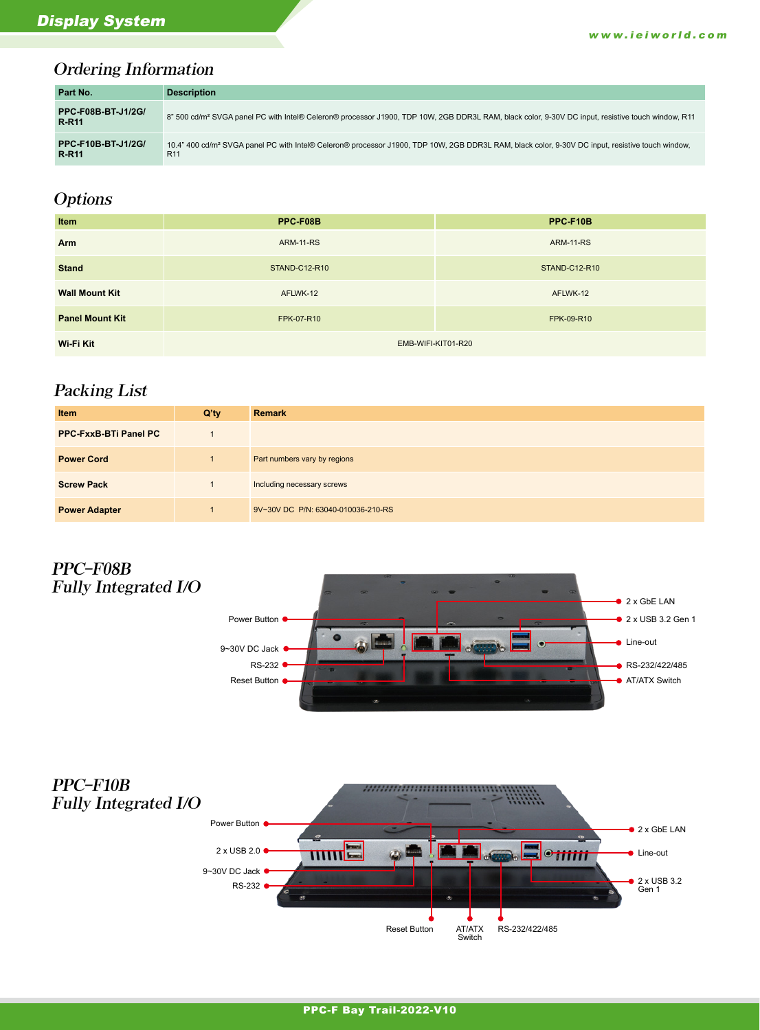#### Ordering Information

| Part No.                                  | <b>Description</b>                                                                                                                                                              |
|-------------------------------------------|---------------------------------------------------------------------------------------------------------------------------------------------------------------------------------|
| <b>PPC-F08B-BT-J1/2G/</b><br><b>R-R11</b> | 8" 500 cd/m <sup>2</sup> SVGA panel PC with Intel® Celeron® processor J1900, TDP 10W, 2GB DDR3L RAM, black color, 9-30V DC input, resistive touch window, R11                   |
| <b>PPC-F10B-BT-J1/2G/</b><br><b>R-R11</b> | 10.4" 400 cd/m <sup>2</sup> SVGA panel PC with Intel® Celeron® processor J1900, TDP 10W, 2GB DDR3L RAM, black color, 9-30V DC input, resistive touch window,<br>R <sub>11</sub> |

# **Options**

| Item                   | PPC-F08B             | PPC-F10B             |
|------------------------|----------------------|----------------------|
| Arm                    | <b>ARM-11-RS</b>     | <b>ARM-11-RS</b>     |
| <b>Stand</b>           | <b>STAND-C12-R10</b> | <b>STAND-C12-R10</b> |
| <b>Wall Mount Kit</b>  | AFLWK-12             | AFLWK-12             |
| <b>Panel Mount Kit</b> | FPK-07-R10           | FPK-09-R10           |
| Wi-Fi Kit              | EMB-WIFI-KIT01-R20   |                      |

## Packing List

| <b>Item</b>                  | $Q'$ ty | <b>Remark</b>                      |
|------------------------------|---------|------------------------------------|
| <b>PPC-FxxB-BTi Panel PC</b> |         |                                    |
| <b>Power Cord</b>            |         | Part numbers vary by regions       |
| <b>Screw Pack</b>            |         | Including necessary screws         |
| <b>Power Adapter</b>         |         | 9V~30V DC P/N: 63040-010036-210-RS |

#### PPC-F08B Fully Integrated I/O